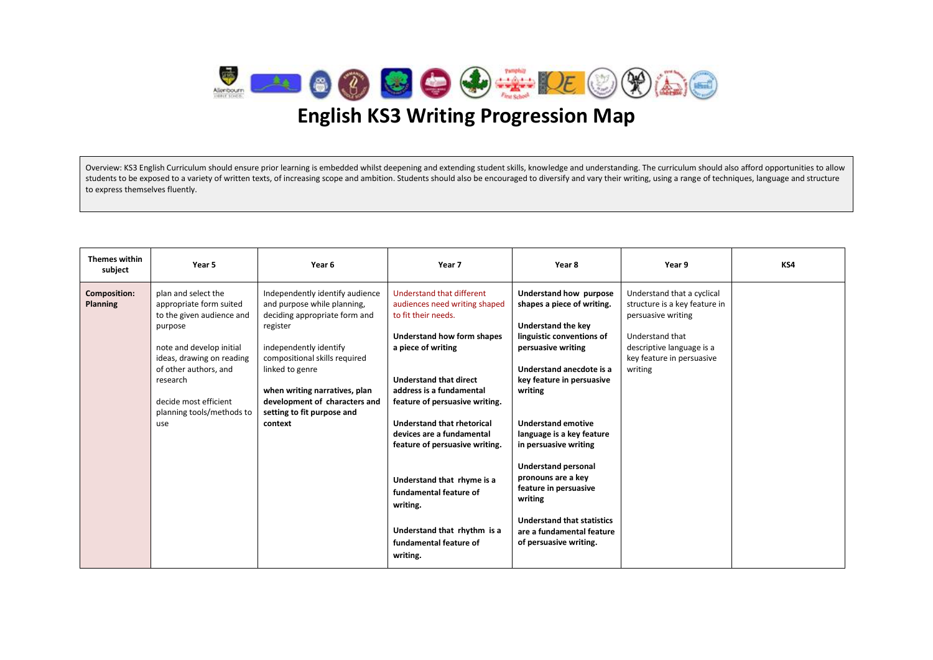

#### Overview: KS3 English Curriculum should ensure prior learning is embedded whilst deepening and extending student skills, knowledge and understanding. The curriculum should also afford opportunities to allow students to be exposed to a variety of written texts, of increasing scope and ambition. Students should also be encouraged to diversify and vary their writing, using a range of techniques, language and structure to express themselves fluently.

| <b>Themes within</b><br>subject        | Year 5                                                                                                                                                                                                                                            | Year 6                                                                                                                                                                                                                                                                                               | Year 7                                                                                                                                                                                                                                                                                                                                                                                                                                                                                   | Year 8                                                                                                                                                                                                                                                                                                                                                                                                                                                                          | Year 9                                                                                                                                                                    | KS4 |
|----------------------------------------|---------------------------------------------------------------------------------------------------------------------------------------------------------------------------------------------------------------------------------------------------|------------------------------------------------------------------------------------------------------------------------------------------------------------------------------------------------------------------------------------------------------------------------------------------------------|------------------------------------------------------------------------------------------------------------------------------------------------------------------------------------------------------------------------------------------------------------------------------------------------------------------------------------------------------------------------------------------------------------------------------------------------------------------------------------------|---------------------------------------------------------------------------------------------------------------------------------------------------------------------------------------------------------------------------------------------------------------------------------------------------------------------------------------------------------------------------------------------------------------------------------------------------------------------------------|---------------------------------------------------------------------------------------------------------------------------------------------------------------------------|-----|
| <b>Composition:</b><br><b>Planning</b> | plan and select the<br>appropriate form suited<br>to the given audience and<br>purpose<br>note and develop initial<br>ideas, drawing on reading<br>of other authors, and<br>research<br>decide most efficient<br>planning tools/methods to<br>use | Independently identify audience<br>and purpose while planning,<br>deciding appropriate form and<br>register<br>independently identify<br>compositional skills required<br>linked to genre<br>when writing narratives, plan<br>development of characters and<br>setting to fit purpose and<br>context | Understand that different<br>audiences need writing shaped<br>to fit their needs.<br><b>Understand how form shapes</b><br>a piece of writing<br><b>Understand that direct</b><br>address is a fundamental<br>feature of persuasive writing.<br><b>Understand that rhetorical</b><br>devices are a fundamental<br>feature of persuasive writing.<br>Understand that rhyme is a<br>fundamental feature of<br>writing.<br>Understand that rhythm is a<br>fundamental feature of<br>writing. | Understand how purpose<br>shapes a piece of writing.<br><b>Understand the key</b><br>linguistic conventions of<br>persuasive writing<br>Understand anecdote is a<br>key feature in persuasive<br>writing<br><b>Understand emotive</b><br>language is a key feature<br>in persuasive writing<br><b>Understand personal</b><br>pronouns are a key<br>feature in persuasive<br>writing<br><b>Understand that statistics</b><br>are a fundamental feature<br>of persuasive writing. | Understand that a cyclical<br>structure is a key feature in<br>persuasive writing<br>Understand that<br>descriptive language is a<br>key feature in persuasive<br>writing |     |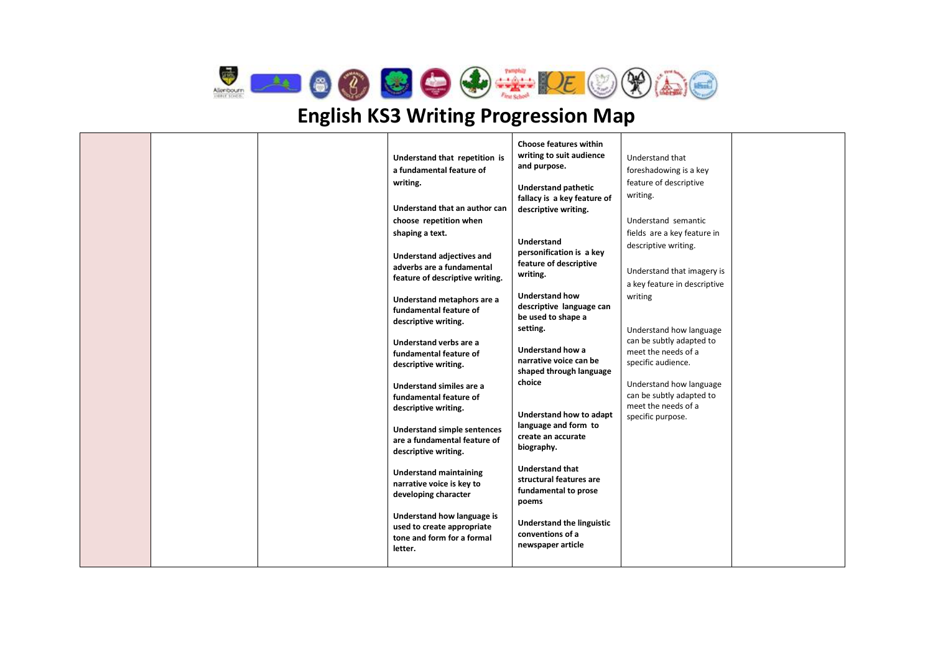

| specific audience.<br>descriptive writing.<br>shaped through language<br>choice<br>Understand how language<br>Understand similes are a<br>can be subtly adapted to<br>fundamental feature of<br>meet the needs of a<br>descriptive writing.<br>Understand how to adapt<br>specific purpose.<br>language and form to<br><b>Understand simple sentences</b><br>create an accurate<br>are a fundamental feature of<br>biography.<br>descriptive writing.<br><b>Understand that</b><br><b>Understand maintaining</b><br>structural features are<br>narrative voice is key to<br>fundamental to prose<br>developing character<br>poems<br>Understand how language is<br><b>Understand the linguistic</b><br>used to create appropriate<br>conventions of a<br>tone and form for a formal<br>newspaper article<br>letter. |  |  |  | Understand that repetition is<br>a fundamental feature of<br>writing.<br>Understand that an author can<br>choose repetition when<br>shaping a text.<br>Understand adjectives and<br>adverbs are a fundamental<br>feature of descriptive writing.<br>Understand metaphors are a<br>fundamental feature of<br>descriptive writing.<br>Understand verbs are a<br>fundamental feature of | <b>Choose features within</b><br>writing to suit audience<br>and purpose.<br><b>Understand pathetic</b><br>fallacy is a key feature of<br>descriptive writing.<br><b>Understand</b><br>personification is a key<br>feature of descriptive<br>writing.<br><b>Understand how</b><br>descriptive language can<br>be used to shape a<br>setting.<br><b>Understand how a</b><br>narrative voice can be | Understand that<br>foreshadowing is a key<br>feature of descriptive<br>writing.<br>Understand semantic<br>fields are a key feature in<br>descriptive writing.<br>Understand that imagery is<br>a key feature in descriptive<br>writing<br>Understand how language<br>can be subtly adapted to<br>meet the needs of a |  |
|---------------------------------------------------------------------------------------------------------------------------------------------------------------------------------------------------------------------------------------------------------------------------------------------------------------------------------------------------------------------------------------------------------------------------------------------------------------------------------------------------------------------------------------------------------------------------------------------------------------------------------------------------------------------------------------------------------------------------------------------------------------------------------------------------------------------|--|--|--|--------------------------------------------------------------------------------------------------------------------------------------------------------------------------------------------------------------------------------------------------------------------------------------------------------------------------------------------------------------------------------------|---------------------------------------------------------------------------------------------------------------------------------------------------------------------------------------------------------------------------------------------------------------------------------------------------------------------------------------------------------------------------------------------------|----------------------------------------------------------------------------------------------------------------------------------------------------------------------------------------------------------------------------------------------------------------------------------------------------------------------|--|
|---------------------------------------------------------------------------------------------------------------------------------------------------------------------------------------------------------------------------------------------------------------------------------------------------------------------------------------------------------------------------------------------------------------------------------------------------------------------------------------------------------------------------------------------------------------------------------------------------------------------------------------------------------------------------------------------------------------------------------------------------------------------------------------------------------------------|--|--|--|--------------------------------------------------------------------------------------------------------------------------------------------------------------------------------------------------------------------------------------------------------------------------------------------------------------------------------------------------------------------------------------|---------------------------------------------------------------------------------------------------------------------------------------------------------------------------------------------------------------------------------------------------------------------------------------------------------------------------------------------------------------------------------------------------|----------------------------------------------------------------------------------------------------------------------------------------------------------------------------------------------------------------------------------------------------------------------------------------------------------------------|--|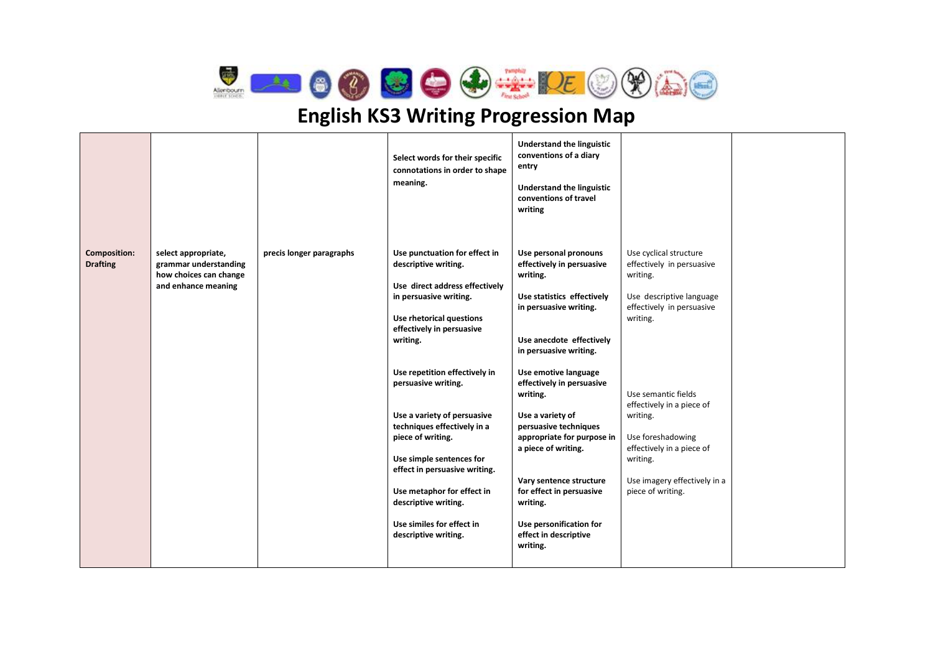

|                                        |                                                                                               |                          | Select words for their specific<br>connotations in order to shape<br>meaning.                                                                                                                                                                                                                                                                                                                                                                                                                             | Understand the linguistic<br>conventions of a diary<br>entry<br>Understand the linguistic<br>conventions of travel<br>writing                                                                                                                                                                                                                                                                                                                                                      |                                                                                                                                                                                                                                                                                                                         |  |
|----------------------------------------|-----------------------------------------------------------------------------------------------|--------------------------|-----------------------------------------------------------------------------------------------------------------------------------------------------------------------------------------------------------------------------------------------------------------------------------------------------------------------------------------------------------------------------------------------------------------------------------------------------------------------------------------------------------|------------------------------------------------------------------------------------------------------------------------------------------------------------------------------------------------------------------------------------------------------------------------------------------------------------------------------------------------------------------------------------------------------------------------------------------------------------------------------------|-------------------------------------------------------------------------------------------------------------------------------------------------------------------------------------------------------------------------------------------------------------------------------------------------------------------------|--|
| <b>Composition:</b><br><b>Drafting</b> | select appropriate,<br>grammar understanding<br>how choices can change<br>and enhance meaning | precis longer paragraphs | Use punctuation for effect in<br>descriptive writing.<br>Use direct address effectively<br>in persuasive writing.<br>Use rhetorical questions<br>effectively in persuasive<br>writing.<br>Use repetition effectively in<br>persuasive writing.<br>Use a variety of persuasive<br>techniques effectively in a<br>piece of writing.<br>Use simple sentences for<br>effect in persuasive writing.<br>Use metaphor for effect in<br>descriptive writing.<br>Use similes for effect in<br>descriptive writing. | Use personal pronouns<br>effectively in persuasive<br>writing.<br>Use statistics effectively<br>in persuasive writing.<br>Use anecdote effectively<br>in persuasive writing.<br>Use emotive language<br>effectively in persuasive<br>writing.<br>Use a variety of<br>persuasive techniques<br>appropriate for purpose in<br>a piece of writing.<br>Vary sentence structure<br>for effect in persuasive<br>writing.<br>Use personification for<br>effect in descriptive<br>writing. | Use cyclical structure<br>effectively in persuasive<br>writing.<br>Use descriptive language<br>effectively in persuasive<br>writing.<br>Use semantic fields<br>effectively in a piece of<br>writing.<br>Use foreshadowing<br>effectively in a piece of<br>writing.<br>Use imagery effectively in a<br>piece of writing. |  |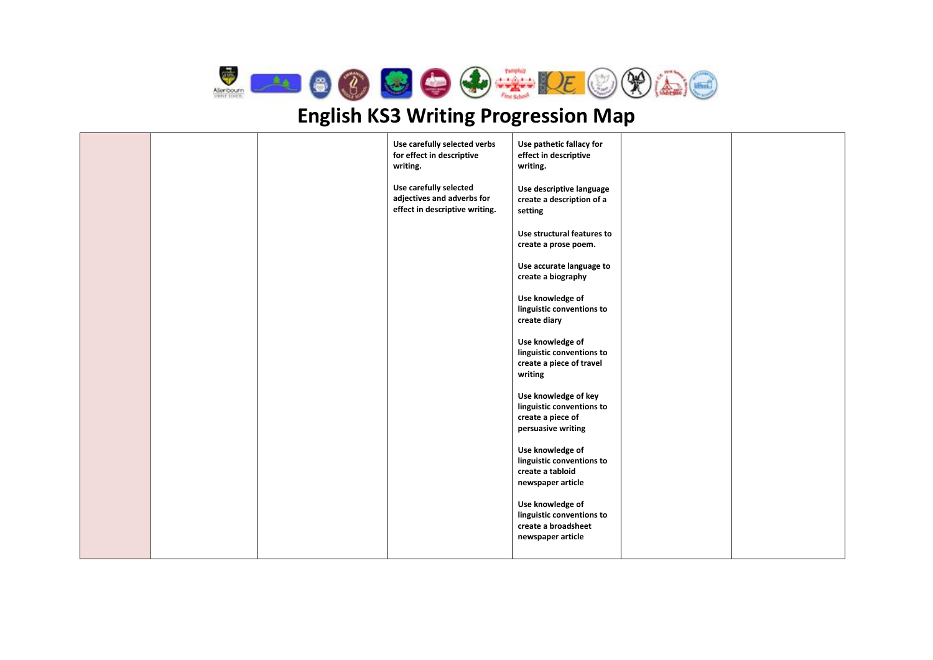

|  | Use carefully selected verbs<br>for effect in descriptive<br>writing.                  | Use pathetic fallacy for<br>effect in descriptive<br>writing.                                |  |
|--|----------------------------------------------------------------------------------------|----------------------------------------------------------------------------------------------|--|
|  | Use carefully selected<br>adjectives and adverbs for<br>effect in descriptive writing. | Use descriptive language<br>create a description of a<br>setting                             |  |
|  |                                                                                        | Use structural features to<br>create a prose poem.                                           |  |
|  |                                                                                        | Use accurate language to<br>create a biography                                               |  |
|  |                                                                                        | Use knowledge of<br>linguistic conventions to<br>create diary                                |  |
|  |                                                                                        | Use knowledge of<br>linguistic conventions to<br>create a piece of travel<br>writing         |  |
|  |                                                                                        | Use knowledge of key<br>linguistic conventions to<br>create a piece of<br>persuasive writing |  |
|  |                                                                                        | Use knowledge of<br>linguistic conventions to<br>create a tabloid<br>newspaper article       |  |
|  |                                                                                        | Use knowledge of<br>linguistic conventions to<br>create a broadsheet<br>newspaper article    |  |
|  |                                                                                        |                                                                                              |  |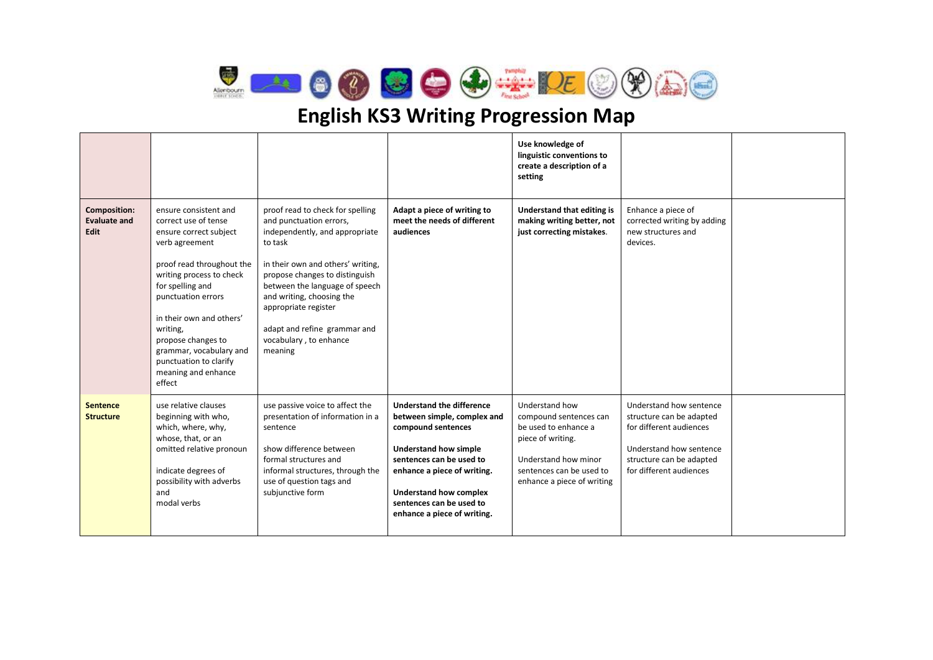

|                                                    |                                                                                                                                                                                                                                                                                                                                                  |                                                                                                                                                                                                                                                                                                                                             |                                                                                                                                                                                                                                                                       | Use knowledge of<br>linguistic conventions to<br>create a description of a<br>setting                                                                                   |                                                                                                                                                                  |  |
|----------------------------------------------------|--------------------------------------------------------------------------------------------------------------------------------------------------------------------------------------------------------------------------------------------------------------------------------------------------------------------------------------------------|---------------------------------------------------------------------------------------------------------------------------------------------------------------------------------------------------------------------------------------------------------------------------------------------------------------------------------------------|-----------------------------------------------------------------------------------------------------------------------------------------------------------------------------------------------------------------------------------------------------------------------|-------------------------------------------------------------------------------------------------------------------------------------------------------------------------|------------------------------------------------------------------------------------------------------------------------------------------------------------------|--|
| <b>Composition:</b><br><b>Evaluate and</b><br>Edit | ensure consistent and<br>correct use of tense<br>ensure correct subject<br>verb agreement<br>proof read throughout the<br>writing process to check<br>for spelling and<br>punctuation errors<br>in their own and others'<br>writing,<br>propose changes to<br>grammar, vocabulary and<br>punctuation to clarify<br>meaning and enhance<br>effect | proof read to check for spelling<br>and punctuation errors,<br>independently, and appropriate<br>to task<br>in their own and others' writing,<br>propose changes to distinguish<br>between the language of speech<br>and writing, choosing the<br>appropriate register<br>adapt and refine grammar and<br>vocabulary, to enhance<br>meaning | Adapt a piece of writing to<br>meet the needs of different<br>audiences                                                                                                                                                                                               | Understand that editing is<br>making writing better, not<br>just correcting mistakes.                                                                                   | Enhance a piece of<br>corrected writing by adding<br>new structures and<br>devices.                                                                              |  |
| <b>Sentence</b><br><b>Structure</b>                | use relative clauses<br>beginning with who,<br>which, where, why,<br>whose, that, or an<br>omitted relative pronoun<br>indicate degrees of<br>possibility with adverbs<br>and<br>modal verbs                                                                                                                                                     | use passive voice to affect the<br>presentation of information in a<br>sentence<br>show difference between<br>formal structures and<br>informal structures, through the<br>use of question tags and<br>subjunctive form                                                                                                                     | Understand the difference<br>between simple, complex and<br>compound sentences<br><b>Understand how simple</b><br>sentences can be used to<br>enhance a piece of writing.<br><b>Understand how complex</b><br>sentences can be used to<br>enhance a piece of writing. | Understand how<br>compound sentences can<br>be used to enhance a<br>piece of writing.<br>Understand how minor<br>sentences can be used to<br>enhance a piece of writing | Understand how sentence<br>structure can be adapted<br>for different audiences<br>Understand how sentence<br>structure can be adapted<br>for different audiences |  |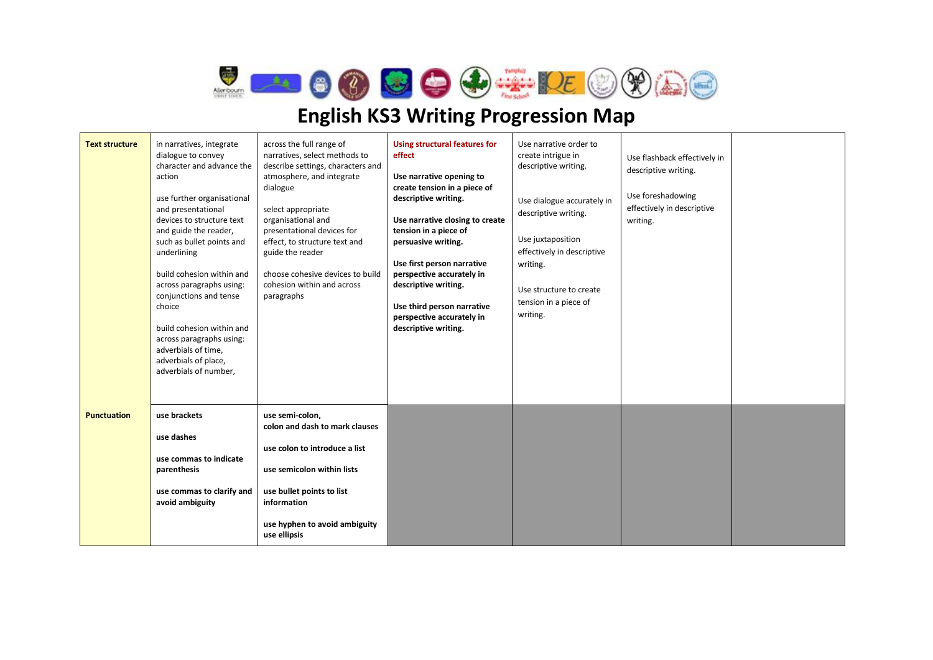$\bigotimes$ **AIOOOOOO**OO

| <b>Text structure</b> | in narratives, integrate<br>dialogue to convey<br>character and advance the<br>action<br>use further organisational<br>and presentational<br>devices to structure text<br>and guide the reader,<br>such as bullet points and<br>underlining<br>build cohesion within and<br>across paragraphs using:<br>conjunctions and tense<br>choice<br>build cohesion within and<br>across paragraphs using:<br>adverbials of time,<br>adverbials of place,<br>adverbials of number, | across the full range of<br>narratives, select methods to<br>describe settings, characters and<br>atmosphere, and integrate<br>dialogue<br>select appropriate<br>organisational and<br>presentational devices for<br>effect, to structure text and<br>guide the reader<br>choose cohesive devices to build<br>cohesion within and across<br>paragraphs | Using structural features for<br>effect<br>Use narrative opening to<br>create tension in a piece of<br>descriptive writing.<br>Use narrative closing to create<br>tension in a piece of<br>persuasive writing.<br>Use first person narrative<br>perspective accurately in<br>descriptive writing.<br>Use third person narrative<br>perspective accurately in<br>descriptive writing. | Use narrative order to<br>create intrigue in<br>descriptive writing.<br>Use dialogue accurately in<br>descriptive writing.<br>Use juxtaposition<br>effectively in descriptive<br>writing.<br>Use structure to create<br>tension in a piece of<br>writing. | Use flashback effectively in<br>descriptive writing.<br>Use foreshadowing<br>effectively in descriptive<br>writing. |  |
|-----------------------|---------------------------------------------------------------------------------------------------------------------------------------------------------------------------------------------------------------------------------------------------------------------------------------------------------------------------------------------------------------------------------------------------------------------------------------------------------------------------|--------------------------------------------------------------------------------------------------------------------------------------------------------------------------------------------------------------------------------------------------------------------------------------------------------------------------------------------------------|--------------------------------------------------------------------------------------------------------------------------------------------------------------------------------------------------------------------------------------------------------------------------------------------------------------------------------------------------------------------------------------|-----------------------------------------------------------------------------------------------------------------------------------------------------------------------------------------------------------------------------------------------------------|---------------------------------------------------------------------------------------------------------------------|--|
| <b>Punctuation</b>    | use brackets<br>use dashes<br>use commas to indicate<br>parenthesis<br>use commas to clarify and<br>avoid ambiguity                                                                                                                                                                                                                                                                                                                                                       | use semi-colon,<br>colon and dash to mark clauses<br>use colon to introduce a list<br>use semicolon within lists<br>use bullet points to list<br>information<br>use hyphen to avoid ambiguity<br>use ellipsis                                                                                                                                          |                                                                                                                                                                                                                                                                                                                                                                                      |                                                                                                                                                                                                                                                           |                                                                                                                     |  |